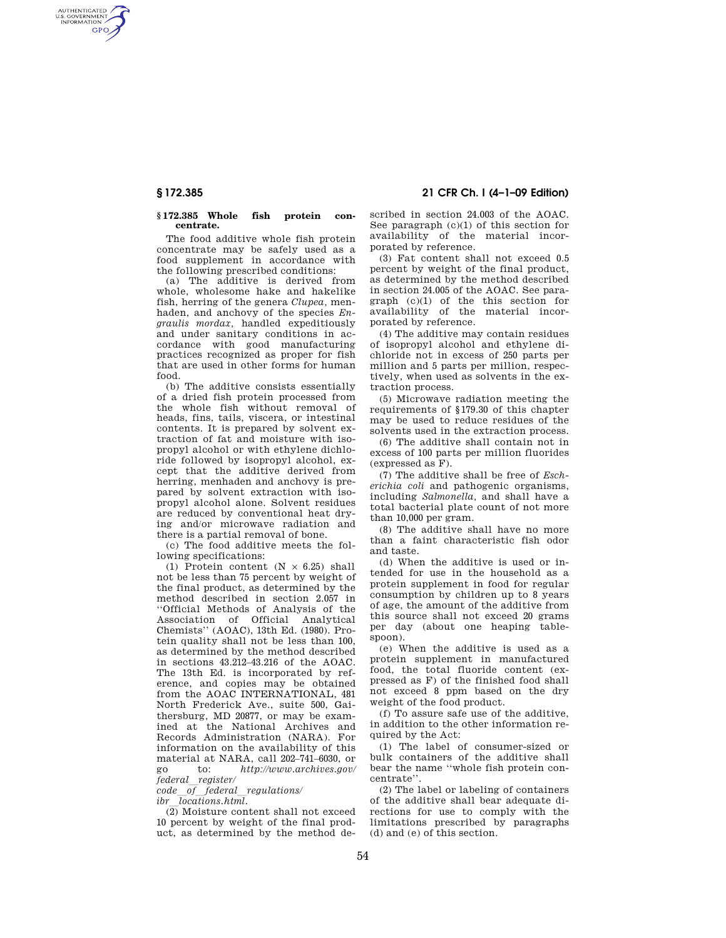AUTHENTICATED<br>U.S. GOVERNMENT<br>INFORMATION **GPO** 

#### **§ 172.385 Whole fish protein concentrate.**

The food additive whole fish protein concentrate may be safely used as a food supplement in accordance with the following prescribed conditions:

(a) The additive is derived from whole, wholesome hake and hakelike fish, herring of the genera *Clupea,* menhaden, and anchovy of the species *Engraulis mordax,* handled expeditiously and under sanitary conditions in accordance with good manufacturing practices recognized as proper for fish that are used in other forms for human food.

(b) The additive consists essentially of a dried fish protein processed from the whole fish without removal of heads, fins, tails, viscera, or intestinal contents. It is prepared by solvent extraction of fat and moisture with isopropyl alcohol or with ethylene dichloride followed by isopropyl alcohol, except that the additive derived from herring, menhaden and anchovy is prepared by solvent extraction with isopropyl alcohol alone. Solvent residues are reduced by conventional heat drying and/or microwave radiation and there is a partial removal of bone.

(c) The food additive meets the following specifications:

(1) Protein content  $(N \times 6.25)$  shall not be less than 75 percent by weight of the final product, as determined by the method described in section 2.057 in ''Official Methods of Analysis of the Association of Official Analytical Chemists'' (AOAC), 13th Ed. (1980). Protein quality shall not be less than 100, as determined by the method described in sections 43.212–43.216 of the AOAC. The 13th Ed. is incorporated by reference, and copies may be obtained from the AOAC INTERNATIONAL, 481 North Frederick Ave., suite 500, Gaithersburg, MD 20877, or may be examined at the National Archives and Records Administration (NARA). For information on the availability of this material at NARA, call 202–741–6030, or go to: *http://www.archives.gov/ federal*l*register/* 

*code*l*of*l*federal*l*regulations/ ibr*l*locations.html.* 

(2) Moisture content shall not exceed 10 percent by weight of the final product, as determined by the method de-

**§ 172.385 21 CFR Ch. I (4–1–09 Edition)** 

scribed in section 24.003 of the AOAC. See paragraph (c)(1) of this section for availability of the material incorporated by reference.

(3) Fat content shall not exceed 0.5 percent by weight of the final product, as determined by the method described in section 24.005 of the AOAC. See paragraph (c)(1) of the this section for availability of the material incorporated by reference.

(4) The additive may contain residues of isopropyl alcohol and ethylene dichloride not in excess of 250 parts per million and 5 parts per million, respectively, when used as solvents in the extraction process.

(5) Microwave radiation meeting the requirements of §179.30 of this chapter may be used to reduce residues of the solvents used in the extraction process.

(6) The additive shall contain not in excess of 100 parts per million fluorides (expressed as F).

(7) The additive shall be free of *Escherichia coli* and pathogenic organisms, including *Salmonella,* and shall have a total bacterial plate count of not more than 10,000 per gram.

(8) The additive shall have no more than a faint characteristic fish odor and taste.

(d) When the additive is used or intended for use in the household as a protein supplement in food for regular consumption by children up to 8 years of age, the amount of the additive from this source shall not exceed 20 grams per day (about one heaping tablespoon).

(e) When the additive is used as a protein supplement in manufactured food, the total fluoride content (expressed as F) of the finished food shall not exceed 8 ppm based on the dry weight of the food product.

(f) To assure safe use of the additive, in addition to the other information required by the Act:

(1) The label of consumer-sized or bulk containers of the additive shall bear the name ''whole fish protein concentrate''.

(2) The label or labeling of containers of the additive shall bear adequate directions for use to comply with the limitations prescribed by paragraphs (d) and (e) of this section.